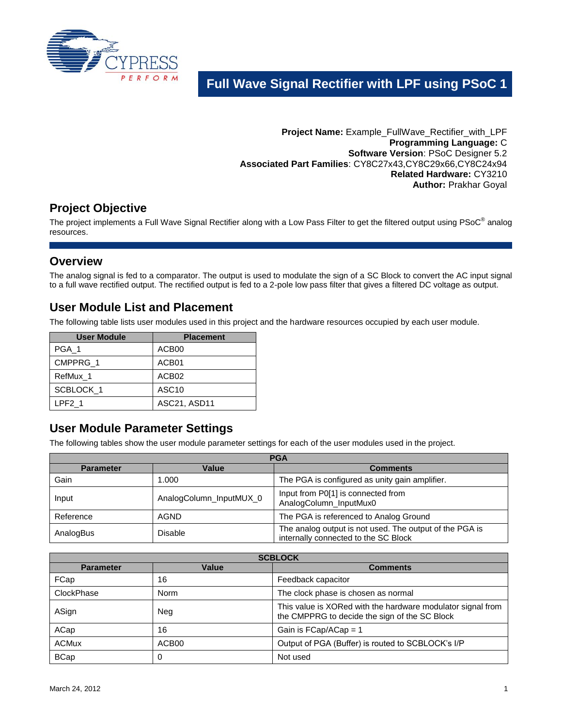

# **Full Wave Signal Rectifier with LPF using PSoC 1**

**Project Name:** Example\_FullWave\_Rectifier\_with\_LPF **Programming Language:** C **Software Version**: PSoC Designer 5.2 **Associated Part Families**: CY8C27x43,CY8C29x66,CY8C24x94 **Related Hardware:** CY3210 **Author:** Prakhar Goyal

## **Project Objective**

The project implements a Full Wave Signal Rectifier along with a Low Pass Filter to get the filtered output using PSoC® analog resources.

### **Overview**

The analog signal is fed to a comparator. The output is used to modulate the sign of a SC Block to convert the AC input signal to a full wave rectified output. The rectified output is fed to a 2-pole low pass filter that gives a filtered DC voltage as output.

### **User Module List and Placement**

The following table lists user modules used in this project and the hardware resources occupied by each user module.

| <b>User Module</b> | <b>Placement</b>  |
|--------------------|-------------------|
| PGA 1              | ACB00             |
| CMPPRG 1           | ACB01             |
| RefMux 1           | ACB02             |
| SCBLOCK_1          | ASC <sub>10</sub> |
| LPF <sub>2</sub> 1 | ASC21, ASD11      |

## **User Module Parameter Settings**

The following tables show the user module parameter settings for each of the user modules used in the project.

| <b>PGA</b>       |                         |                                                                                                 |
|------------------|-------------------------|-------------------------------------------------------------------------------------------------|
| <b>Parameter</b> | Value                   | <b>Comments</b>                                                                                 |
| Gain             | 1.000                   | The PGA is configured as unity gain amplifier.                                                  |
| Input            | AnalogColumn_InputMUX_0 | Input from P0[1] is connected from<br>AnalogColumn_InputMux0                                    |
| Reference        | <b>AGND</b>             | The PGA is referenced to Analog Ground                                                          |
| AnalogBus        | <b>Disable</b>          | The analog output is not used. The output of the PGA is<br>internally connected to the SC Block |

| <b>SCBLOCK</b>   |             |                                                                                                              |
|------------------|-------------|--------------------------------------------------------------------------------------------------------------|
| <b>Parameter</b> | Value       | <b>Comments</b>                                                                                              |
| FCap             | 16          | Feedback capacitor                                                                                           |
| ClockPhase       | <b>Norm</b> | The clock phase is chosen as normal                                                                          |
| ASign            | Neg         | This value is XORed with the hardware modulator signal from<br>the CMPPRG to decide the sign of the SC Block |
| ACap             | 16          | Gain is FCap/ACap = 1                                                                                        |
| <b>ACMux</b>     | ACB00       | Output of PGA (Buffer) is routed to SCBLOCK's I/P                                                            |
| <b>BCap</b>      |             | Not used                                                                                                     |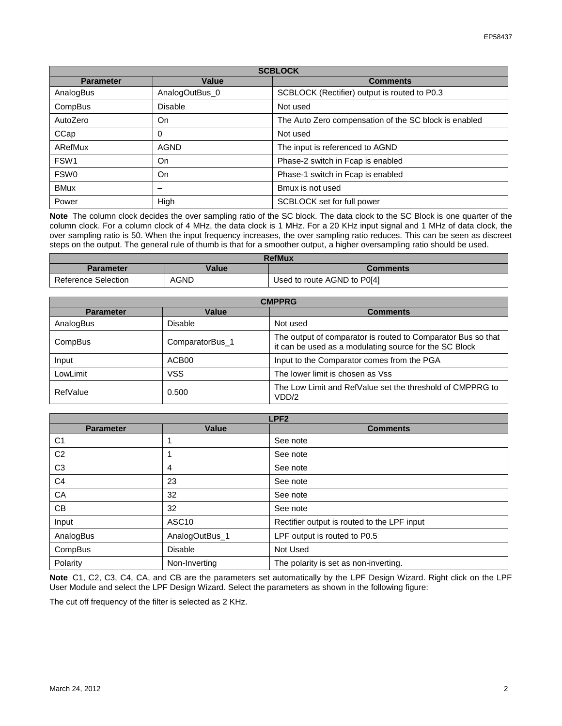| <b>SCBLOCK</b>   |                |                                                       |
|------------------|----------------|-------------------------------------------------------|
| <b>Parameter</b> | Value          | <b>Comments</b>                                       |
| AnalogBus        | AnalogOutBus 0 | SCBLOCK (Rectifier) output is routed to P0.3          |
| CompBus          | <b>Disable</b> | Not used                                              |
| AutoZero         | On             | The Auto Zero compensation of the SC block is enabled |
| CCap             | O              | Not used                                              |
| ARefMux          | <b>AGND</b>    | The input is referenced to AGND                       |
| FSW <sub>1</sub> | On             | Phase-2 switch in Fcap is enabled                     |
| FSW <sub>0</sub> | On             | Phase-1 switch in Fcap is enabled                     |
| <b>BMux</b>      |                | Bmux is not used                                      |
| Power            | High           | SCBLOCK set for full power                            |

**Note** The column clock decides the over sampling ratio of the SC block. The data clock to the SC Block is one quarter of the column clock. For a column clock of 4 MHz, the data clock is 1 MHz. For a 20 KHz input signal and 1 MHz of data clock, the over sampling ratio is 50. When the input frequency increases, the over sampling ratio reduces. This can be seen as discreet steps on the output. The general rule of thumb is that for a smoother output, a higher oversampling ratio should be used.

| <b>RefMux</b>       |             |                             |
|---------------------|-------------|-----------------------------|
| <b>Parameter</b>    | Value       | <b>Comments</b>             |
| Reference Selection | <b>AGND</b> | Used to route AGND to P0[4] |

| <b>CMPPRG</b>    |                 |                                                                                                                        |
|------------------|-----------------|------------------------------------------------------------------------------------------------------------------------|
| <b>Parameter</b> | Value           | <b>Comments</b>                                                                                                        |
| AnalogBus        | <b>Disable</b>  | Not used                                                                                                               |
| CompBus          | ComparatorBus_1 | The output of comparator is routed to Comparator Bus so that<br>it can be used as a modulating source for the SC Block |
| Input            | ACB00           | Input to the Comparator comes from the PGA                                                                             |
| LowLimit         | VSS             | The lower limit is chosen as Vss                                                                                       |
| RefValue         | 0.500           | The Low Limit and RefValue set the threshold of CMPPRG to<br>VDD/2                                                     |

| LPF <sub>2</sub> |                   |                                             |
|------------------|-------------------|---------------------------------------------|
| <b>Parameter</b> | <b>Value</b>      | <b>Comments</b>                             |
| C <sub>1</sub>   |                   | See note                                    |
| C <sub>2</sub>   |                   | See note                                    |
| C <sub>3</sub>   | 4                 | See note                                    |
| C <sub>4</sub>   | 23                | See note                                    |
| CA               | 32                | See note                                    |
| CB               | 32                | See note                                    |
| Input            | ASC <sub>10</sub> | Rectifier output is routed to the LPF input |
| AnalogBus        | AnalogOutBus_1    | LPF output is routed to P0.5                |
| CompBus          | <b>Disable</b>    | Not Used                                    |
| Polarity         | Non-Inverting     | The polarity is set as non-inverting.       |

**Note** C1, C2, C3, C4, CA, and CB are the parameters set automatically by the LPF Design Wizard. Right click on the LPF User Module and select the LPF Design Wizard. Select the parameters as shown in the following figure:

The cut off frequency of the filter is selected as 2 KHz.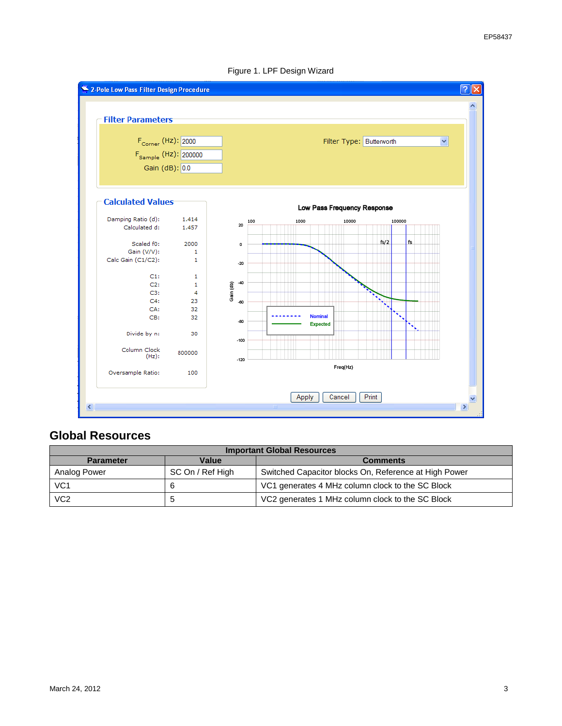

#### Figure 1. LPF Design Wizard

## **Global Resources**

| <b>Important Global Resources</b> |                  |                                                       |
|-----------------------------------|------------------|-------------------------------------------------------|
| <b>Parameter</b>                  | Value            | <b>Comments</b>                                       |
| Analog Power                      | SC On / Ref High | Switched Capacitor blocks On, Reference at High Power |
| VC <sub>1</sub>                   |                  | VC1 generates 4 MHz column clock to the SC Block      |
| VC <sub>2</sub>                   |                  | VC2 generates 1 MHz column clock to the SC Block      |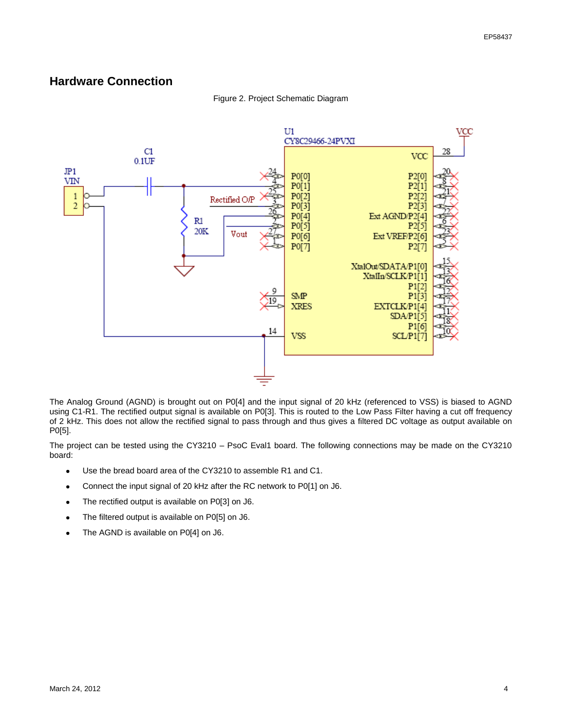### **Hardware Connection**

#### Figure 2. Project Schematic Diagram



The Analog Ground (AGND) is brought out on P0[4] and the input signal of 20 kHz (referenced to VSS) is biased to AGND using C1-R1. The rectified output signal is available on P0[3]. This is routed to the Low Pass Filter having a cut off frequency of 2 kHz. This does not allow the rectified signal to pass through and thus gives a filtered DC voltage as output available on P0[5].

The project can be tested using the CY3210 – PsoC Eval1 board. The following connections may be made on the CY3210 board:

- Use the bread board area of the CY3210 to assemble R1 and C1.  $\bullet$
- Connect the input signal of 20 kHz after the RC network to P0[1] on J6.
- The rectified output is available on P0[3] on J6.  $\bullet$
- The filtered output is available on P0[5] on J6.
- The AGND is available on P0[4] on J6.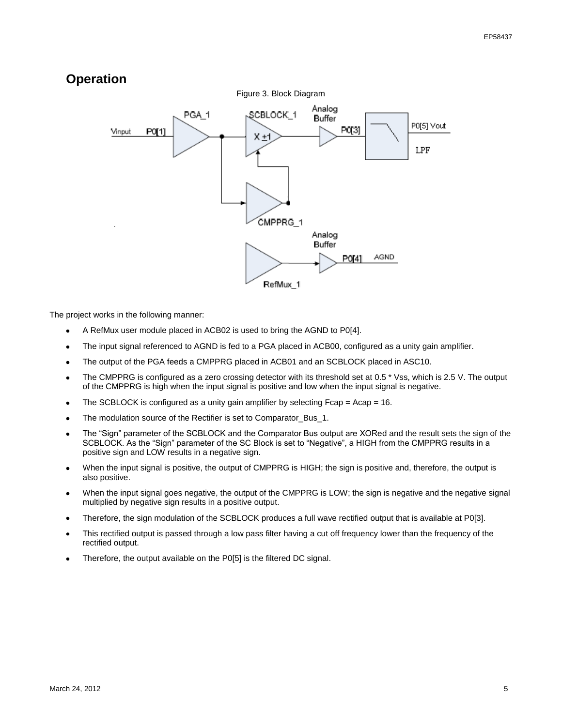## **Operation**



The project works in the following manner:

- A RefMux user module placed in ACB02 is used to bring the AGND to P0[4].
- The input signal referenced to AGND is fed to a PGA placed in ACB00, configured as a unity gain amplifier.  $\bullet$
- The output of the PGA feeds a CMPPRG placed in ACB01 and an SCBLOCK placed in ASC10.
- The CMPPRG is configured as a zero crossing detector with its threshold set at 0.5 \* Vss, which is 2.5 V. The output of the CMPPRG is high when the input signal is positive and low when the input signal is negative.
- The SCBLOCK is configured as a unity gain amplifier by selecting Fcap = Acap = 16.  $\bullet$
- The modulation source of the Rectifier is set to Comparator\_Bus\_1.
- The "Sign" parameter of the SCBLOCK and the Comparator Bus output are XORed and the result sets the sign of the SCBLOCK. As the "Sign" parameter of the SC Block is set to "Negative", a HIGH from the CMPPRG results in a positive sign and LOW results in a negative sign.
- When the input signal is positive, the output of CMPPRG is HIGH; the sign is positive and, therefore, the output is also positive.
- When the input signal goes negative, the output of the CMPPRG is LOW; the sign is negative and the negative signal multiplied by negative sign results in a positive output.
- Therefore, the sign modulation of the SCBLOCK produces a full wave rectified output that is available at P0[3].
- This rectified output is passed through a low pass filter having a cut off frequency lower than the frequency of the rectified output.
- Therefore, the output available on the P0[5] is the filtered DC signal.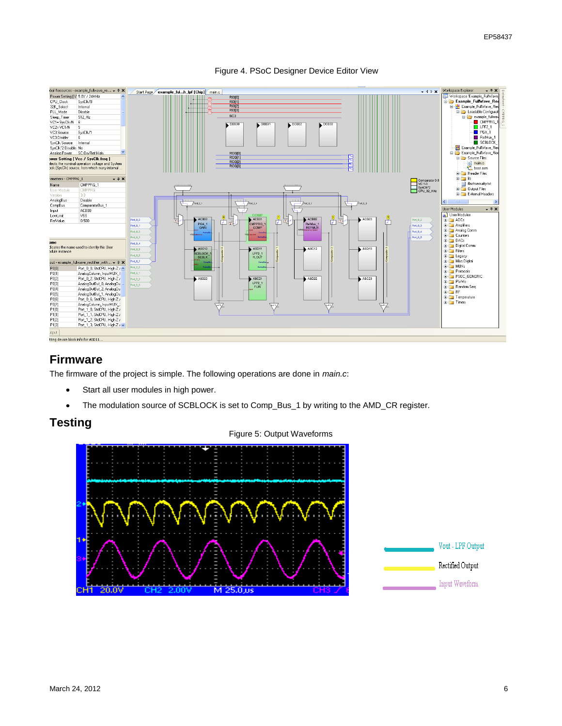



### **Firmware**

The firmware of the project is simple. The following operations are done in *main.c*:

- Start all user modules in high power.
- The modulation source of SCBLOCK is set to Comp\_Bus\_1 by writing to the AMD\_CR register.  $\bullet$

### **Testing**

#### Figure 5: Output Waveforms